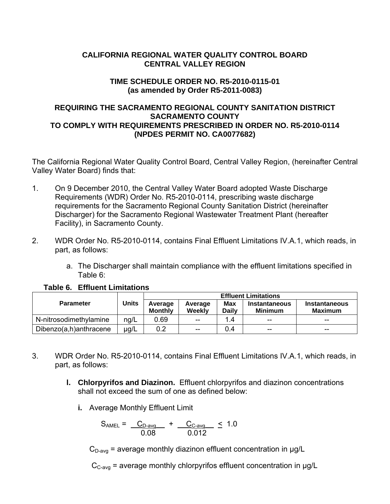# **CALIFORNIA REGIONAL WATER QUALITY CONTROL BOARD CENTRAL VALLEY REGION**

# **TIME SCHEDULE ORDER NO. R5-2010-0115-01 (as amended by Order R5-2011-0083)**

# **REQUIRING THE SACRAMENTO REGIONAL COUNTY SANITATION DISTRICT SACRAMENTO COUNTY TO COMPLY WITH REQUIREMENTS PRESCRIBED IN ORDER NO. R5-2010-0114 (NPDES PERMIT NO. CA0077682)**

The California Regional Water Quality Control Board, Central Valley Region, (hereinafter Central Valley Water Board) finds that:

- 1. On 9 December 2010, the Central Valley Water Board adopted Waste Discharge Requirements (WDR) Order No. R5-2010-0114, prescribing waste discharge requirements for the Sacramento Regional County Sanitation District (hereinafter Discharger) for the Sacramento Regional Wastewater Treatment Plant (hereafter Facility), in Sacramento County.
- 2. WDR Order No. R5-2010-0114, contains Final Effluent Limitations IV.A.1, which reads, in part, as follows:
	- a. The Discharger shall maintain compliance with the effluent limitations specified in Table 6:

|                        |              | <b>Effluent Limitations</b> |                   |                     |                                        |                                        |
|------------------------|--------------|-----------------------------|-------------------|---------------------|----------------------------------------|----------------------------------------|
| <b>Parameter</b>       | <b>Units</b> | Average<br>Monthly          | Average<br>Weekly | <b>Max</b><br>Daily | <b>Instantaneous</b><br><b>Minimum</b> | <b>Instantaneous</b><br><b>Maximum</b> |
| N-nitrosodimethylamine | ng/L         | 0.69                        | $-$               | 1.4                 | $-$                                    | $- -$                                  |
| Dibenzo(a,h)anthracene | ug/L         | $0.2\,$                     | $-$               | 0.4                 | $-$                                    | $- -$                                  |

## **Table 6. Effluent Limitations**

- 3. WDR Order No. R5-2010-0114, contains Final Effluent Limitations IV.A.1, which reads, in part, as follows:
	- **l. Chlorpyrifos and Diazinon.** Effluent chlorpyrifos and diazinon concentrations shall not exceed the sum of one as defined below:
		- **i.** Average Monthly Effluent Limit

$$
S_{\text{AMEL}} = \frac{C_{D\text{-avg}}}{0.08} + \frac{C_{C\text{-avg}}}{0.012} \leq 1.0
$$

 $C_{D\text{-avg}}$  = average monthly diazinon effluent concentration in  $\mu$ g/L

 $C_{C\text{-avg}}$  = average monthly chlorpyrifos effluent concentration in  $\mu$ g/L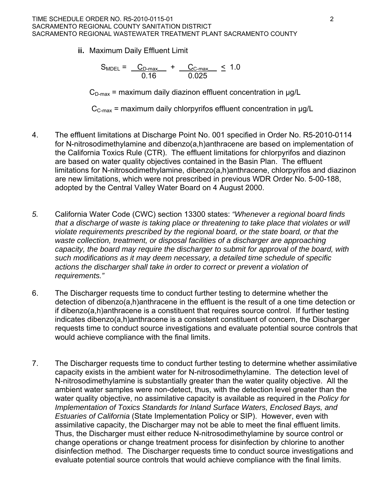**ii.** Maximum Daily Effluent Limit

$$
S_{\text{MDEL}} = \frac{C_{\text{D-max}}}{0.16} + \frac{C_{\text{C-max}}}{0.025} \leq 1.0
$$

 $C_{D\text{-max}}$  = maximum daily diazinon effluent concentration in  $\mu q/L$ 

 $C_{C\text{-max}}$  = maximum daily chlorpyrifos effluent concentration in  $\mu q/L$ 

- 4. The effluent limitations at Discharge Point No. 001 specified in Order No. R5-2010-0114 for N-nitrosodimethylamine and dibenzo(a,h)anthracene are based on implementation of the California Toxics Rule (CTR). The effluent limitations for chlorpyrifos and diazinon are based on water quality objectives contained in the Basin Plan. The effluent limitations for N-nitrosodimethylamine, dibenzo(a,h)anthracene, chlorpyrifos and diazinon are new limitations, which were not prescribed in previous WDR Order No. 5-00-188, adopted by the Central Valley Water Board on 4 August 2000.
- *5.* California Water Code (CWC) section 13300 states: *"Whenever a regional board finds that a discharge of waste is taking place or threatening to take place that violates or will violate requirements prescribed by the regional board, or the state board, or that the*  waste collection, treatment, or disposal facilities of a discharger are approaching *capacity, the board may require the discharger to submit for approval of the board, with such modifications as it may deem necessary, a detailed time schedule of specific actions the discharger shall take in order to correct or prevent a violation of requirements."*
- 6. The Discharger requests time to conduct further testing to determine whether the detection of dibenzo(a,h)anthracene in the effluent is the result of a one time detection or if dibenzo(a,h)anthracene is a constituent that requires source control. If further testing indicates dibenzo(a,h)anthracene is a consistent constituent of concern, the Discharger requests time to conduct source investigations and evaluate potential source controls that would achieve compliance with the final limits.
- 7. The Discharger requests time to conduct further testing to determine whether assimilative capacity exists in the ambient water for N-nitrosodimethylamine. The detection level of N-nitrosodimethylamine is substantially greater than the water quality objective. All the ambient water samples were non-detect, thus, with the detection level greater than the water quality objective, no assimilative capacity is available as required in the *Policy for Implementation of Toxics Standards for Inland Surface Waters, Enclosed Bays, and Estuaries of California* (State Implementation Policy or SIP). However, even with assimilative capacity, the Discharger may not be able to meet the final effluent limits. Thus, the Discharger must either reduce N-nitrosodimethylamine by source control or change operations or change treatment process for disinfection by chlorine to another disinfection method. The Discharger requests time to conduct source investigations and evaluate potential source controls that would achieve compliance with the final limits.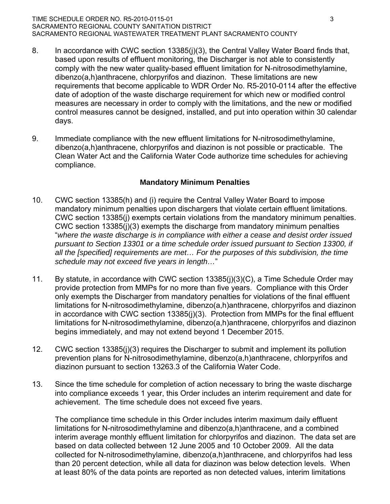#### TIME SCHEDULE ORDER NO. R5-2010-0115-01 3 SACRAMENTO REGIONAL COUNTY SANITATION DISTRICT SACRAMENTO REGIONAL WASTEWATER TREATMENT PLANT SACRAMENTO COUNTY

- 8. In accordance with CWC section 13385(j)(3), the Central Valley Water Board finds that, based upon results of effluent monitoring, the Discharger is not able to consistently comply with the new water quality-based effluent limitation for N-nitrosodimethylamine, dibenzo(a,h)anthracene, chlorpyrifos and diazinon. These limitations are new requirements that become applicable to WDR Order No. R5-2010-0114 after the effective date of adoption of the waste discharge requirement for which new or modified control measures are necessary in order to comply with the limitations, and the new or modified control measures cannot be designed, installed, and put into operation within 30 calendar days.
- 9. Immediate compliance with the new effluent limitations for N-nitrosodimethylamine, dibenzo(a,h)anthracene, chlorpyrifos and diazinon is not possible or practicable. The Clean Water Act and the California Water Code authorize time schedules for achieving compliance.

### **Mandatory Minimum Penalties**

- 10. CWC section 13385(h) and (i) require the Central Valley Water Board to impose mandatory minimum penalties upon dischargers that violate certain effluent limitations. CWC section 13385(j) exempts certain violations from the mandatory minimum penalties. CWC section 13385(j)(3) exempts the discharge from mandatory minimum penalties "*where the waste discharge is in compliance with either a cease and desist order issued pursuant to Section 13301 or a time schedule order issued pursuant to Section 13300, if all the [specified] requirements are met… For the purposes of this subdivision, the time schedule may not exceed five years in length…*"
- 11. By statute, in accordance with CWC section 13385(j)(3)(C), a Time Schedule Order may provide protection from MMPs for no more than five years. Compliance with this Order only exempts the Discharger from mandatory penalties for violations of the final effluent limitations for N-nitrosodimethylamine, dibenzo(a,h)anthracene, chlorpyrifos and diazinon in accordance with CWC section 13385(j)(3). Protection from MMPs for the final effluent limitations for N-nitrosodimethylamine, dibenzo(a,h)anthracene, chlorpyrifos and diazinon begins immediately, and may not extend beyond 1 December 2015.
- 12. CWC section 13385(j)(3) requires the Discharger to submit and implement its pollution prevention plans for N-nitrosodimethylamine, dibenzo(a,h)anthracene, chlorpyrifos and diazinon pursuant to section 13263.3 of the California Water Code.
- 13. Since the time schedule for completion of action necessary to bring the waste discharge into compliance exceeds 1 year, this Order includes an interim requirement and date for achievement. The time schedule does not exceed five years.

The compliance time schedule in this Order includes interim maximum daily effluent limitations for N-nitrosodimethylamine and dibenzo(a,h)anthracene, and a combined interim average monthly effluent limitation for chlorpyrifos and diazinon. The data set are based on data collected between 12 June 2005 and 10 October 2009. All the data collected for N-nitrosodimethylamine, dibenzo(a,h)anthracene, and chlorpyrifos had less than 20 percent detection, while all data for diazinon was below detection levels. When at least 80% of the data points are reported as non detected values, interim limitations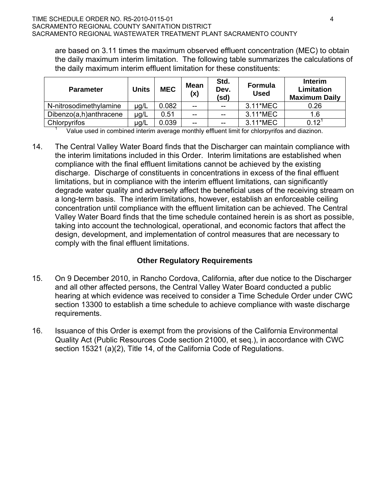are based on 3.11 times the maximum observed effluent concentration (MEC) to obtain the daily maximum interim limitation. The following table summarizes the calculations of the daily maximum interim effluent limitation for these constituents:

| <b>Parameter</b>       | <b>Units</b> | <b>MEC</b> | <b>Mean</b><br>(x) | Std.<br>Dev.<br>(sd) | <b>Formula</b><br><b>Used</b> | Interim<br>Limitation<br><b>Maximum Daily</b> |
|------------------------|--------------|------------|--------------------|----------------------|-------------------------------|-----------------------------------------------|
| N-nitrosodimethylamine | µg/L         | 0.082      | $-$                | $- -$                | 3.11*MEC                      | 0.26                                          |
| Dibenzo(a,h)anthracene | µg/L         | 0.51       | $-$                | $- -$                | 3.11*MEC                      | 1.6                                           |
| Chlorpyrifos           | µg/L         | 0.039      | $-$                | $-$                  | 3.11*MEC                      | $0.12^{1}$                                    |

Value used in combined interim average monthly effluent limit for chlorpyrifos and diazinon.

14. The Central Valley Water Board finds that the Discharger can maintain compliance with the interim limitations included in this Order. Interim limitations are established when compliance with the final effluent limitations cannot be achieved by the existing discharge. Discharge of constituents in concentrations in excess of the final effluent limitations, but in compliance with the interim effluent limitations, can significantly degrade water quality and adversely affect the beneficial uses of the receiving stream on a long-term basis. The interim limitations, however, establish an enforceable ceiling concentration until compliance with the effluent limitation can be achieved. The Central Valley Water Board finds that the time schedule contained herein is as short as possible, taking into account the technological, operational, and economic factors that affect the design, development, and implementation of control measures that are necessary to comply with the final effluent limitations.

# **Other Regulatory Requirements**

- 15. On 9 December 2010, in Rancho Cordova, California, after due notice to the Discharger and all other affected persons, the Central Valley Water Board conducted a public hearing at which evidence was received to consider a Time Schedule Order under CWC section 13300 to establish a time schedule to achieve compliance with waste discharge requirements.
- 16. Issuance of this Order is exempt from the provisions of the California Environmental Quality Act (Public Resources Code section 21000, et seq.), in accordance with CWC section 15321 (a)(2), Title 14, of the California Code of Regulations.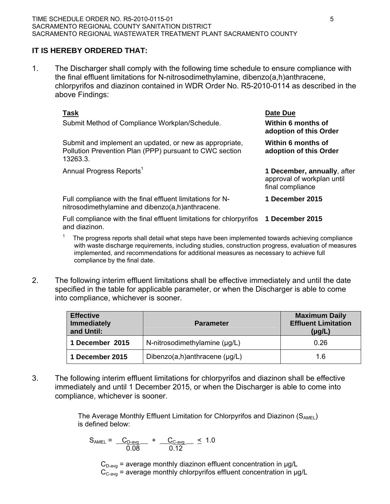# **IT IS HEREBY ORDERED THAT:**

1. The Discharger shall comply with the following time schedule to ensure compliance with the final effluent limitations for N-nitrosodimethylamine, dibenzo(a,h)anthracene, chlorpyrifos and diazinon contained in WDR Order No. R5-2010-0114 as described in the above Findings:

| Task<br>Submit Method of Compliance Workplan/Schedule.                                                                         | Date Due<br>Within 6 months of<br>adoption of this Order                      |
|--------------------------------------------------------------------------------------------------------------------------------|-------------------------------------------------------------------------------|
| Submit and implement an updated, or new as appropriate,<br>Pollution Prevention Plan (PPP) pursuant to CWC section<br>13263.3. | Within 6 months of<br>adoption of this Order                                  |
| Annual Progress Reports <sup>1</sup>                                                                                           | 1 December, annually, after<br>approval of workplan until<br>final compliance |
| Full compliance with the final effluent limitations for N-<br>nitrosodimethylamine and dibenzo(a,h)anthracene.                 | 1 December 2015                                                               |
| Full compliance with the final effluent limitations for chlorpyrifos<br>and diazinon.                                          | 1 December 2015                                                               |

- 1 The progress reports shall detail what steps have been implemented towards achieving compliance with waste discharge requirements, including studies, construction progress, evaluation of measures implemented, and recommendations for additional measures as necessary to achieve full compliance by the final date.
- 2. The following interim effluent limitations shall be effective immediately and until the date specified in the table for applicable parameter, or when the Discharger is able to come into compliance, whichever is sooner.

| <b>Effective</b><br><b>Immediately</b><br>and Until: | <b>Parameter</b>                   | <b>Maximum Daily</b><br><b>Effluent Limitation</b><br>$(\mu g/L)$ |
|------------------------------------------------------|------------------------------------|-------------------------------------------------------------------|
| 1 December 2015                                      | N-nitrosodimethylamine (µg/L)      | 0.26                                                              |
| 1 December 2015                                      | Dibenzo(a,h)anthracene $(\mu g/L)$ | 1.6                                                               |

3. The following interim effluent limitations for chlorpyrifos and diazinon shall be effective immediately and until 1 December 2015, or when the Discharger is able to come into compliance, whichever is sooner.

> The Average Monthly Effluent Limitation for Chlorpyrifos and Diazinon  $(S_{AMEL})$ is defined below:

$$
S_{\text{AMEL}} = \frac{C_{\text{D-avg}}}{0.08} + \frac{C_{\text{C-avg}}}{0.12} \leq 1.0
$$

 $C_{D\text{-avg}}$  = average monthly diazinon effluent concentration in  $\mu$ g/L  $C_{C\text{-avg}}$  = average monthly chlorpyrifos effluent concentration in  $\mu$ g/L